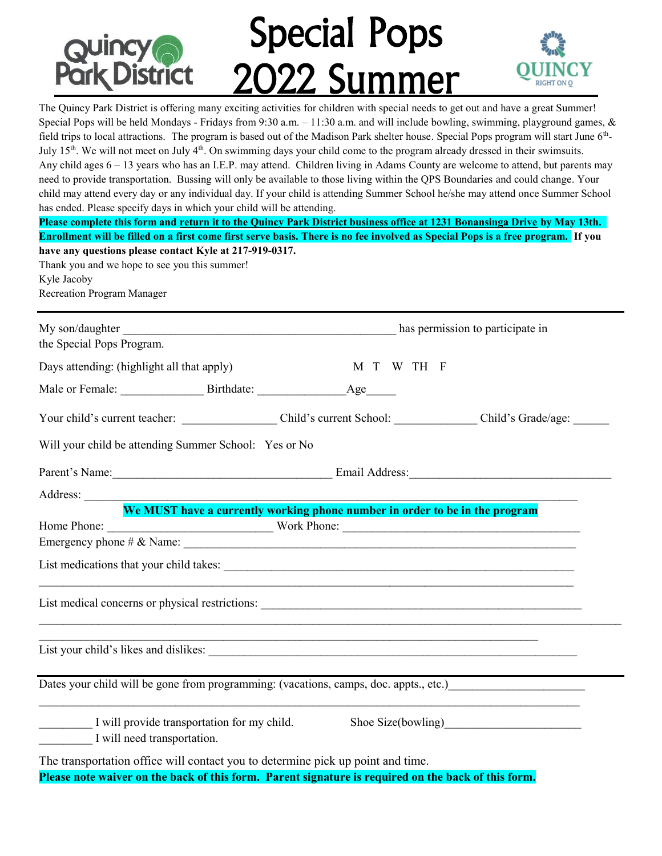

The Quincy Park District is offering many exciting activities for children with special needs to get out and have a great Summer!<br>Special Pops will be held Mondays - Fridays from 9:30 a.m. – 11:30 a.m. and will include bow Special Pops will be held Mondays - Fridays from 9:30 a.m.  $-11:30$  a.m. and will include bowling, swimming, playground games, & field trips to local attractions. The program is based out of the Madison Park shelter house. Special Pops program will start June 6<sup>th</sup>-July  $15<sup>th</sup>$ . We will not meet on July  $4<sup>th</sup>$ . On swimming days your child come to the program already dressed in their swimsuits. Any child ages 6 – 13 years who has an I.E.P. may attend. Children living in Adams County are welcome to attend, but parents may need to provide transportation. Bussing will only be available to those living within the QPS Boundaries and could change. Your child may attend every day or any individual day. If your child is attending Summer School he/she may attend once Summer School has ended. Please specify days in which your child will be attending. **Please complete this form and return it to the Quincy Park District business office at 1231 Bonansinga Drive by May 13th. Enrollment will be filled on a first come first serve basis. There is no fee involved as Special Pops is a free program. If you have any questions please contact Kyle at 217-919-0317.**  Thank you and we hope to see you this summer! Kyle Jacoby Recreation Program Manager My son/daughter has permission to participate in the Special Pops Program. Days attending: (highlight all that apply) M T W TH F Male or Female: \_\_\_\_\_\_\_\_\_\_\_\_\_\_\_\_\_\_\_\_\_\_\_\_\_Birthdate: \_\_\_\_\_\_\_\_\_\_\_\_\_\_\_\_\_\_\_\_\_\_\_\_\_\_\_\_ Age Your child's current teacher: <br>Child's current School: Child's Grade/age: Will your child be attending Summer School: Yes or No Parent's Name: The Communication of the Email Address: Address: **We MUST have a currently working phone number in order to be in the program** Home Phone: \_\_\_\_\_\_\_\_\_\_\_\_\_\_\_\_\_\_\_\_\_\_\_\_\_\_\_\_ Work Phone: \_\_\_\_\_\_\_\_\_\_\_\_\_\_\_\_\_\_\_\_\_\_\_\_\_\_\_\_\_\_\_\_\_\_\_\_\_\_\_\_ Emergency phone  $\#\&$  Name: List medications that your child takes:  $\mathcal{L}_\text{max}$  , and the contract of the contract of the contract of the contract of the contract of the contract of the contract of the contract of the contract of the contract of the contract of the contract of the contr List medical concerns or physical restrictions:  $\mathcal{L}_\mathcal{L} = \mathcal{L}_\mathcal{L} = \mathcal{L}_\mathcal{L} = \mathcal{L}_\mathcal{L} = \mathcal{L}_\mathcal{L} = \mathcal{L}_\mathcal{L} = \mathcal{L}_\mathcal{L} = \mathcal{L}_\mathcal{L} = \mathcal{L}_\mathcal{L} = \mathcal{L}_\mathcal{L} = \mathcal{L}_\mathcal{L} = \mathcal{L}_\mathcal{L} = \mathcal{L}_\mathcal{L} = \mathcal{L}_\mathcal{L} = \mathcal{L}_\mathcal{L} = \mathcal{L}_\mathcal{L} = \mathcal{L}_\mathcal{L}$  $\mathcal{L}_\mathcal{L} = \{ \mathcal{L}_\mathcal{L} = \{ \mathcal{L}_\mathcal{L} = \{ \mathcal{L}_\mathcal{L} = \{ \mathcal{L}_\mathcal{L} = \{ \mathcal{L}_\mathcal{L} = \{ \mathcal{L}_\mathcal{L} = \{ \mathcal{L}_\mathcal{L} = \{ \mathcal{L}_\mathcal{L} = \{ \mathcal{L}_\mathcal{L} = \{ \mathcal{L}_\mathcal{L} = \{ \mathcal{L}_\mathcal{L} = \{ \mathcal{L}_\mathcal{L} = \{ \mathcal{L}_\mathcal{L} = \{ \mathcal{L}_\mathcal{$ List your child's likes and dislikes: Dates your child will be gone from programming: (vacations, camps, doc. appts., etc.)  $\mathcal{L}_\mathcal{L} = \mathcal{L}_\mathcal{L} = \mathcal{L}_\mathcal{L} = \mathcal{L}_\mathcal{L} = \mathcal{L}_\mathcal{L} = \mathcal{L}_\mathcal{L} = \mathcal{L}_\mathcal{L} = \mathcal{L}_\mathcal{L} = \mathcal{L}_\mathcal{L} = \mathcal{L}_\mathcal{L} = \mathcal{L}_\mathcal{L} = \mathcal{L}_\mathcal{L} = \mathcal{L}_\mathcal{L} = \mathcal{L}_\mathcal{L} = \mathcal{L}_\mathcal{L} = \mathcal{L}_\mathcal{L} = \mathcal{L}_\mathcal{L}$ I will provide transportation for my child. Shoe Size(bowling) I will need transportation. The transportation office will contact you to determine pick up point and time. **Please note waiver on the back of this form. Parent signature is required on the back of this form.**